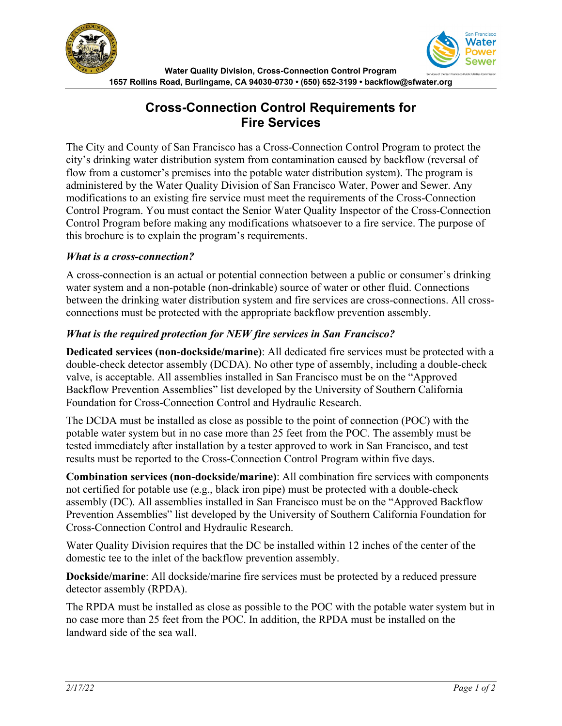



# **Cross-Connection Control Requirements for Fire Services**

The City and County of San Francisco has a Cross-Connection Control Program to protect the city's drinking water distribution system from contamination caused by backflow (reversal of flow from a customer's premises into the potable water distribution system). The program is administered by the Water Quality Division of San Francisco Water, Power and Sewer. Any modifications to an existing fire service must meet the requirements of the Cross-Connection Control Program. You must contact the Senior Water Quality Inspector of the Cross-Connection Control Program before making any modifications whatsoever to a fire service. The purpose of this brochure is to explain the program's requirements.

#### *What is a cross-connection?*

A cross-connection is an actual or potential connection between a public or consumer's drinking water system and a non-potable (non-drinkable) source of water or other fluid. Connections between the drinking water distribution system and fire services are cross-connections. All crossconnections must be protected with the appropriate backflow prevention assembly.

### *What is the required protection for NEW fire services in San Francisco?*

**Dedicated services (non-dockside/marine)**: All dedicated fire services must be protected with a double-check detector assembly (DCDA). No other type of assembly, including a double-check valve, is acceptable. All assemblies installed in San Francisco must be on the "Approved Backflow Prevention Assemblies" list developed by the University of Southern California Foundation for Cross-Connection Control and Hydraulic Research.

The DCDA must be installed as close as possible to the point of connection (POC) with the potable water system but in no case more than 25 feet from the POC. The assembly must be tested immediately after installation by a tester approved to work in San Francisco, and test results must be reported to the Cross-Connection Control Program within five days.

**Combination services (non-dockside/marine)**: All combination fire services with components not certified for potable use (e.g., black iron pipe) must be protected with a double-check assembly (DC). All assemblies installed in San Francisco must be on the "Approved Backflow Prevention Assemblies" list developed by the University of Southern California Foundation for Cross-Connection Control and Hydraulic Research.

Water Quality Division requires that the DC be installed within 12 inches of the center of the domestic tee to the inlet of the backflow prevention assembly.

**Dockside/marine**: All dockside/marine fire services must be protected by a reduced pressure detector assembly (RPDA).

The RPDA must be installed as close as possible to the POC with the potable water system but in no case more than 25 feet from the POC. In addition, the RPDA must be installed on the landward side of the sea wall.